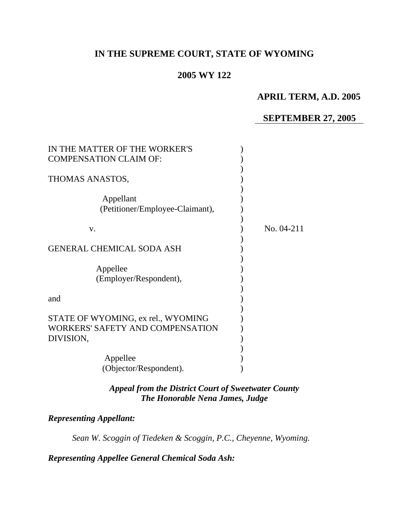# **IN THE SUPREME COURT, STATE OF WYOMING**

## **2005 WY 122**

## **APRIL TERM, A.D. 2005**

## **SEPTEMBER 27, 2005**

| IN THE MATTER OF THE WORKER'S<br><b>COMPENSATION CLAIM OF:</b>                             |            |
|--------------------------------------------------------------------------------------------|------------|
|                                                                                            |            |
| THOMAS ANASTOS,                                                                            |            |
| Appellant<br>(Petitioner/Employee-Claimant),                                               |            |
| $V_{\cdot}$                                                                                | No. 04-211 |
| <b>GENERAL CHEMICAL SODA ASH</b>                                                           |            |
| Appellee<br>(Employer/Respondent),                                                         |            |
| and                                                                                        |            |
| STATE OF WYOMING, ex rel., WYOMING<br><b>WORKERS' SAFETY AND COMPENSATION</b><br>DIVISION, |            |
| Appellee<br>(Objector/Respondent).                                                         |            |

*Appeal from the District Court of Sweetwater County The Honorable Nena James, Judge* 

## *Representing Appellant:*

*Sean W. Scoggin of Tiedeken & Scoggin, P.C., Cheyenne, Wyoming.* 

*Representing Appellee General Chemical Soda Ash:*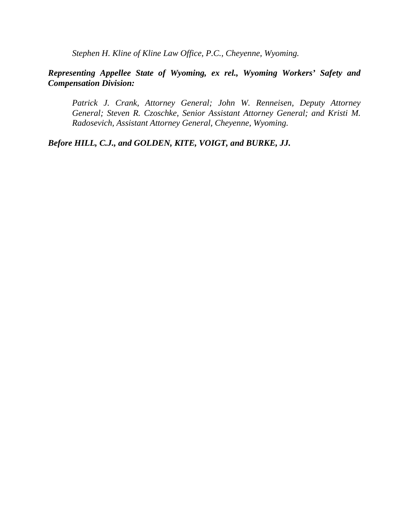*Stephen H. Kline of Kline Law Office, P.C., Cheyenne, Wyoming.* 

## *Representing Appellee State of Wyoming, ex rel., Wyoming Workers' Safety and Compensation Division:*

 *Patrick J. Crank, Attorney General; John W. Renneisen, Deputy Attorney General; Steven R. Czoschke, Senior Assistant Attorney General; and Kristi M. Radosevich, Assistant Attorney General, Cheyenne, Wyoming.* 

*Before HILL, C.J., and GOLDEN, KITE, VOIGT, and BURKE, JJ.*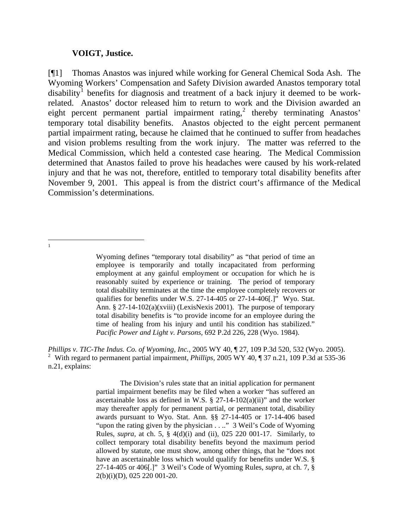#### **VOIGT, Justice.**

[¶1] Thomas Anastos was injured while working for General Chemical Soda Ash. The Wyoming Workers' Compensation and Safety Division awarded Anastos temporary total disability<sup>[1](#page-2-0)</sup> benefits for diagnosis and treatment of a back injury it deemed to be workrelated. Anastos' doctor released him to return to work and the Division awarded an eight percent permanent partial impairment rating, $2$  thereby terminating Anastos' temporary total disability benefits. Anastos objected to the eight percent permanent partial impairment rating, because he claimed that he continued to suffer from headaches and vision problems resulting from the work injury. The matter was referred to the Medical Commission, which held a contested case hearing. The Medical Commission determined that Anastos failed to prove his headaches were caused by his work-related injury and that he was not, therefore, entitled to temporary total disability benefits after November 9, 2001. This appeal is from the district court's affirmance of the Medical Commission's determinations.

<span id="page-2-0"></span> $\frac{1}{1}$ 

<span id="page-2-1"></span>*Phillips v. TIC-The Indus. Co. of Wyoming, Inc.*, 2005 WY 40, ¶ 27, 109 P.3d 520, 532 (Wyo. 2005). <sup>2</sup> With regard to permanent partial impairment, *Phillips*, 2005 WY 40, ¶ 37 n.21, 109 P.3d at 535-36 n.21, explains:

> The Division's rules state that an initial application for permanent partial impairment benefits may be filed when a worker "has suffered an ascertainable loss as defined in W.S.  $\S$  27-14-102(a)(ii)" and the worker may thereafter apply for permanent partial, or permanent total, disability awards pursuant to [Wyo. Stat. Ann. §§ 27-14-405](http://www.lexis.com/research/buttonTFLink?_m=921b415fc99a5a0035381587c61f471b&_xfercite=%3ccite%20cc%3d%22USA%22%3e%3c%21%5bCDATA%5b2005%20WY%2040%5d%5d%3e%3c%2fcite%3e&_butType=4&_butStat=0&_butNum=88&_butInline=1&_butinfo=WYO.%20STAT.%20ANN.%2027-14-405&_fmtstr=FULL&docnum=1&_startdoc=1&wchp=dGLbVtb-zSkAt&_md5=209cbdfb90fdf3e0af01fde701372bca) or 17-14-406 based "upon the rating given by the physician . . .." 3 [Weil's Code of Wyoming](http://www.lexis.com/research/buttonTFLink?_m=921b415fc99a5a0035381587c61f471b&_xfercite=%3ccite%20cc%3d%22USA%22%3e%3c%21%5bCDATA%5b2005%20WY%2040%5d%5d%3e%3c%2fcite%3e&_butType=3&_butStat=2&_butNum=89&_butInline=1&_butinfo=%3ccite%20cc%3d%22USA%22%3e%3c%21%5bCDATA%5b2002%20WY%20175%5d%5d%3e%3c%2fcite%3e&_fmtstr=FULL&docnum=1&_startdoc=1&wchp=dGLbVtb-zSkAt&_md5=e35fab5f46ac1bd23166637536a446ea)  [Rules,](http://www.lexis.com/research/buttonTFLink?_m=921b415fc99a5a0035381587c61f471b&_xfercite=%3ccite%20cc%3d%22USA%22%3e%3c%21%5bCDATA%5b2005%20WY%2040%5d%5d%3e%3c%2fcite%3e&_butType=3&_butStat=2&_butNum=89&_butInline=1&_butinfo=%3ccite%20cc%3d%22USA%22%3e%3c%21%5bCDATA%5b2002%20WY%20175%5d%5d%3e%3c%2fcite%3e&_fmtstr=FULL&docnum=1&_startdoc=1&wchp=dGLbVtb-zSkAt&_md5=e35fab5f46ac1bd23166637536a446ea) *supra,* at ch. 5, § 4(d)(i) and (ii), 025 220 001-17. Similarly, to collect temporary total disability benefits beyond the maximum period allowed by statute, one must show, among other things, that he "does not have an ascertainable loss which would qualify for benefits under [W.S. §](http://www.lexis.com/research/buttonTFLink?_m=921b415fc99a5a0035381587c61f471b&_xfercite=%3ccite%20cc%3d%22USA%22%3e%3c%21%5bCDATA%5b2005%20WY%2040%5d%5d%3e%3c%2fcite%3e&_butType=4&_butStat=0&_butNum=90&_butInline=1&_butinfo=WYO.%20STAT.%20ANN.%2027-14-405&_fmtstr=FULL&docnum=1&_startdoc=1&wchp=dGLbVtb-zSkAt&_md5=912f26f98724c40df2b2f1b3f960c903)  [27-14-405](http://www.lexis.com/research/buttonTFLink?_m=921b415fc99a5a0035381587c61f471b&_xfercite=%3ccite%20cc%3d%22USA%22%3e%3c%21%5bCDATA%5b2005%20WY%2040%5d%5d%3e%3c%2fcite%3e&_butType=4&_butStat=0&_butNum=90&_butInline=1&_butinfo=WYO.%20STAT.%20ANN.%2027-14-405&_fmtstr=FULL&docnum=1&_startdoc=1&wchp=dGLbVtb-zSkAt&_md5=912f26f98724c40df2b2f1b3f960c903) or [406](http://www.lexis.com/research/buttonTFLink?_m=921b415fc99a5a0035381587c61f471b&_xfercite=%3ccite%20cc%3d%22USA%22%3e%3c%21%5bCDATA%5b2005%20WY%2040%5d%5d%3e%3c%2fcite%3e&_butType=4&_butStat=0&_butNum=91&_butInline=1&_butinfo=WYO.%20STAT.%20ANN.%2027-14-406&_fmtstr=FULL&docnum=1&_startdoc=1&wchp=dGLbVtb-zSkAt&_md5=d3e6eb0cad3856a08446baf472d56aeb)[.]" 3 [Weil's Code of Wyoming Rules,](http://www.lexis.com/research/buttonTFLink?_m=921b415fc99a5a0035381587c61f471b&_xfercite=%3ccite%20cc%3d%22USA%22%3e%3c%21%5bCDATA%5b2005%20WY%2040%5d%5d%3e%3c%2fcite%3e&_butType=3&_butStat=2&_butNum=92&_butInline=1&_butinfo=%3ccite%20cc%3d%22USA%22%3e%3c%21%5bCDATA%5b2002%20WY%20175%5d%5d%3e%3c%2fcite%3e&_fmtstr=FULL&docnum=1&_startdoc=1&wchp=dGLbVtb-zSkAt&_md5=860ce838942a0c4ad770b749165ac5d8) *supra,* at ch. 7, § 2(b)(i)(D), 025 220 001-20.

Wyoming defines "temporary total disability" as "that period of time an employee is temporarily and totally incapacitated from performing employment at any gainful employment or occupation for which he is reasonably suited by experience or training. The period of temporary total disability terminates at the time the employee completely recovers or qualifies for benefits under [W.S. 27-14-405](http://www.lexis.com/research/buttonTFLink?_m=55db6edcc757cdb2c7975b16245b4c60&_xfercite=%3ccite%20cc%3d%22USA%22%3e%3c%21%5bCDATA%5b2005%20WY%2040%5d%5d%3e%3c%2fcite%3e&_butType=4&_butStat=0&_butNum=33&_butInline=1&_butinfo=WYO.%20STAT.%20ANN.%2027-14-405&_fmtstr=FULL&docnum=2&_startdoc=1&wchp=dGLbVtb-zSkAt&_md5=7b935b04a1c6e496f07e15ac082d9901) or [27-14-406\[](http://www.lexis.com/research/buttonTFLink?_m=55db6edcc757cdb2c7975b16245b4c60&_xfercite=%3ccite%20cc%3d%22USA%22%3e%3c%21%5bCDATA%5b2005%20WY%2040%5d%5d%3e%3c%2fcite%3e&_butType=4&_butStat=0&_butNum=34&_butInline=1&_butinfo=WYO.%20STAT.%20ANN.%2027-14-406&_fmtstr=FULL&docnum=2&_startdoc=1&wchp=dGLbVtb-zSkAt&_md5=3666a02c13bec9b788ef906b454754ba).]" [Wyo. Stat.](http://www.lexis.com/research/buttonTFLink?_m=55db6edcc757cdb2c7975b16245b4c60&_xfercite=%3ccite%20cc%3d%22USA%22%3e%3c%21%5bCDATA%5b2005%20WY%2040%5d%5d%3e%3c%2fcite%3e&_butType=4&_butStat=0&_butNum=35&_butInline=1&_butinfo=WYO.%20STAT.%20ANN.%2027-14-102&_fmtstr=FULL&docnum=2&_startdoc=1&wchp=dGLbVtb-zSkAt&_md5=7d1cddf77dbb3b74307331a694f3cac6)  [Ann. § 27-14-102\(a\)\(xviii\)](http://www.lexis.com/research/buttonTFLink?_m=55db6edcc757cdb2c7975b16245b4c60&_xfercite=%3ccite%20cc%3d%22USA%22%3e%3c%21%5bCDATA%5b2005%20WY%2040%5d%5d%3e%3c%2fcite%3e&_butType=4&_butStat=0&_butNum=35&_butInline=1&_butinfo=WYO.%20STAT.%20ANN.%2027-14-102&_fmtstr=FULL&docnum=2&_startdoc=1&wchp=dGLbVtb-zSkAt&_md5=7d1cddf77dbb3b74307331a694f3cac6) (LexisNexis 2001). The purpose of temporary total disability benefits is "to provide income for an employee during the time of healing from his injury and until his condition has stabilized." *[Pacific Power and Light v. Parsons,](http://www.lexis.com/research/buttonTFLink?_m=55db6edcc757cdb2c7975b16245b4c60&_xfercite=%3ccite%20cc%3d%22USA%22%3e%3c%21%5bCDATA%5b2005%20WY%2040%5d%5d%3e%3c%2fcite%3e&_butType=3&_butStat=2&_butNum=36&_butInline=1&_butinfo=%3ccite%20cc%3d%22USA%22%3e%3c%21%5bCDATA%5b692%20P.2d%20226%2cat%20228%5d%5d%3e%3c%2fcite%3e&_fmtstr=FULL&docnum=2&_startdoc=1&wchp=dGLbVtb-zSkAt&_md5=cdff9522ecd7bb1cf299b0cec30340f6)* 692 P.2d 226, 228 (Wyo. 1984).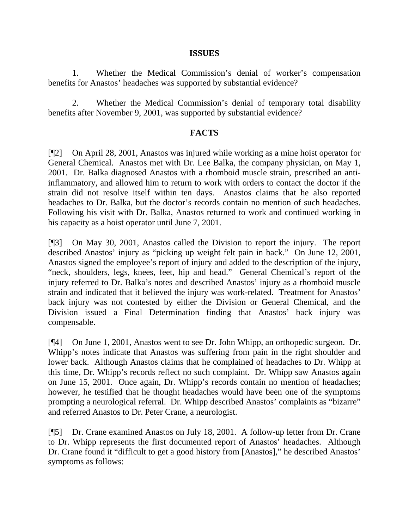#### **ISSUES**

1. Whether the Medical Commission's denial of worker's compensation benefits for Anastos' headaches was supported by substantial evidence?

2. Whether the Medical Commission's denial of temporary total disability benefits after November 9, 2001, was supported by substantial evidence?

## **FACTS**

[¶2] On April 28, 2001, Anastos was injured while working as a mine hoist operator for General Chemical. Anastos met with Dr. Lee Balka, the company physician, on May 1, 2001. Dr. Balka diagnosed Anastos with a rhomboid muscle strain, prescribed an antiinflammatory, and allowed him to return to work with orders to contact the doctor if the strain did not resolve itself within ten days. Anastos claims that he also reported headaches to Dr. Balka, but the doctor's records contain no mention of such headaches. Following his visit with Dr. Balka, Anastos returned to work and continued working in his capacity as a hoist operator until June 7, 2001.

[¶3] On May 30, 2001, Anastos called the Division to report the injury. The report described Anastos' injury as "picking up weight felt pain in back." On June 12, 2001, Anastos signed the employee's report of injury and added to the description of the injury, "neck, shoulders, legs, knees, feet, hip and head." General Chemical's report of the injury referred to Dr. Balka's notes and described Anastos' injury as a rhomboid muscle strain and indicated that it believed the injury was work-related. Treatment for Anastos' back injury was not contested by either the Division or General Chemical, and the Division issued a Final Determination finding that Anastos' back injury was compensable.

[¶4] On June 1, 2001, Anastos went to see Dr. John Whipp, an orthopedic surgeon. Dr. Whipp's notes indicate that Anastos was suffering from pain in the right shoulder and lower back. Although Anastos claims that he complained of headaches to Dr. Whipp at this time, Dr. Whipp's records reflect no such complaint. Dr. Whipp saw Anastos again on June 15, 2001. Once again, Dr. Whipp's records contain no mention of headaches; however, he testified that he thought headaches would have been one of the symptoms prompting a neurological referral. Dr. Whipp described Anastos' complaints as "bizarre" and referred Anastos to Dr. Peter Crane, a neurologist.

[¶5] Dr. Crane examined Anastos on July 18, 2001. A follow-up letter from Dr. Crane to Dr. Whipp represents the first documented report of Anastos' headaches. Although Dr. Crane found it "difficult to get a good history from [Anastos]," he described Anastos' symptoms as follows: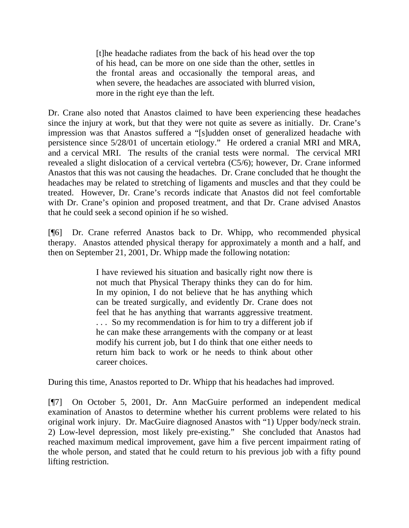[t]he headache radiates from the back of his head over the top of his head, can be more on one side than the other, settles in the frontal areas and occasionally the temporal areas, and when severe, the headaches are associated with blurred vision, more in the right eye than the left.

Dr. Crane also noted that Anastos claimed to have been experiencing these headaches since the injury at work, but that they were not quite as severe as initially. Dr. Crane's impression was that Anastos suffered a "[s]udden onset of generalized headache with persistence since 5/28/01 of uncertain etiology." He ordered a cranial MRI and MRA, and a cervical MRI. The results of the cranial tests were normal. The cervical MRI revealed a slight dislocation of a cervical vertebra (C5/6); however, Dr. Crane informed Anastos that this was not causing the headaches. Dr. Crane concluded that he thought the headaches may be related to stretching of ligaments and muscles and that they could be treated. However, Dr. Crane's records indicate that Anastos did not feel comfortable with Dr. Crane's opinion and proposed treatment, and that Dr. Crane advised Anastos that he could seek a second opinion if he so wished.

[¶6] Dr. Crane referred Anastos back to Dr. Whipp, who recommended physical therapy. Anastos attended physical therapy for approximately a month and a half, and then on September 21, 2001, Dr. Whipp made the following notation:

> I have reviewed his situation and basically right now there is not much that Physical Therapy thinks they can do for him. In my opinion, I do not believe that he has anything which can be treated surgically, and evidently Dr. Crane does not feel that he has anything that warrants aggressive treatment. . . . So my recommendation is for him to try a different job if he can make these arrangements with the company or at least modify his current job, but I do think that one either needs to return him back to work or he needs to think about other career choices.

During this time, Anastos reported to Dr. Whipp that his headaches had improved.

[¶7] On October 5, 2001, Dr. Ann MacGuire performed an independent medical examination of Anastos to determine whether his current problems were related to his original work injury. Dr. MacGuire diagnosed Anastos with "1) Upper body/neck strain. 2) Low-level depression, most likely pre-existing." She concluded that Anastos had reached maximum medical improvement, gave him a five percent impairment rating of the whole person, and stated that he could return to his previous job with a fifty pound lifting restriction.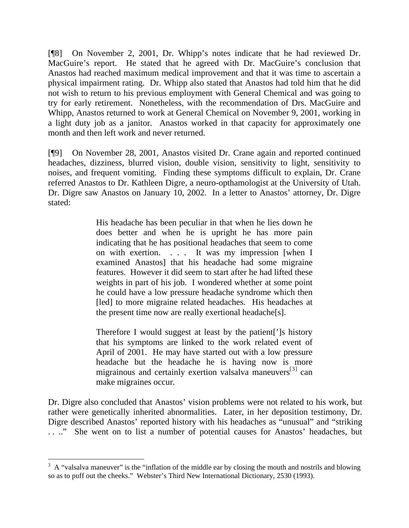[¶8] On November 2, 2001, Dr. Whipp's notes indicate that he had reviewed Dr. MacGuire's report. He stated that he agreed with Dr. MacGuire's conclusion that Anastos had reached maximum medical improvement and that it was time to ascertain a physical impairment rating. Dr. Whipp also stated that Anastos had told him that he did not wish to return to his previous employment with General Chemical and was going to try for early retirement. Nonetheless, with the recommendation of Drs. MacGuire and Whipp, Anastos returned to work at General Chemical on November 9, 2001, working in a light duty job as a janitor. Anastos worked in that capacity for approximately one month and then left work and never returned.

[¶9] On November 28, 2001, Anastos visited Dr. Crane again and reported continued headaches, dizziness, blurred vision, double vision, sensitivity to light, sensitivity to noises, and frequent vomiting. Finding these symptoms difficult to explain, Dr. Crane referred Anastos to Dr. Kathleen Digre, a neuro-opthamologist at the University of Utah. Dr. Digre saw Anastos on January 10, 2002. In a letter to Anastos' attorney, Dr. Digre stated:

> His headache has been peculiar in that when he lies down he does better and when he is upright he has more pain indicating that he has positional headaches that seem to come on with exertion. . . . It was my impression [when I examined Anastos] that his headache had some migraine features. However it did seem to start after he had lifted these weights in part of his job. I wondered whether at some point he could have a low pressure headache syndrome which then [led] to more migraine related headaches. His headaches at the present time now are really exertional headache[s].

> Therefore I would suggest at least by the patient[']s history that his symptoms are linked to the work related event of April of 2001. He may have started out with a low pressure headache but the headache he is having now is more migrainous and certainly exertion valsalva maneuvers $[3]$  can make migraines occur.

Dr. Digre also concluded that Anastos' vision problems were not related to his work, but rather were genetically inherited abnormalities. Later, in her deposition testimony, Dr. Digre described Anastos' reported history with his headaches as "unusual" and "striking . . .." She went on to list a number of potential causes for Anastos' headaches, but

 $\overline{a}$ 

<span id="page-5-0"></span> $3 \text{ A}$  "valsalva maneuver" is the "inflation of the middle ear by closing the mouth and nostrils and blowing so as to puff out the cheeks." Webster's Third New International Dictionary, 2530 (1993).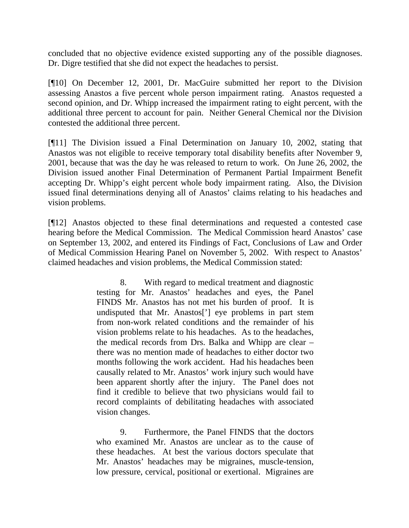concluded that no objective evidence existed supporting any of the possible diagnoses. Dr. Digre testified that she did not expect the headaches to persist.

[¶10] On December 12, 2001, Dr. MacGuire submitted her report to the Division assessing Anastos a five percent whole person impairment rating. Anastos requested a second opinion, and Dr. Whipp increased the impairment rating to eight percent, with the additional three percent to account for pain. Neither General Chemical nor the Division contested the additional three percent.

[¶11] The Division issued a Final Determination on January 10, 2002, stating that Anastos was not eligible to receive temporary total disability benefits after November 9, 2001, because that was the day he was released to return to work. On June 26, 2002, the Division issued another Final Determination of Permanent Partial Impairment Benefit accepting Dr. Whipp's eight percent whole body impairment rating. Also, the Division issued final determinations denying all of Anastos' claims relating to his headaches and vision problems.

[¶12] Anastos objected to these final determinations and requested a contested case hearing before the Medical Commission. The Medical Commission heard Anastos' case on September 13, 2002, and entered its Findings of Fact, Conclusions of Law and Order of Medical Commission Hearing Panel on November 5, 2002. With respect to Anastos' claimed headaches and vision problems, the Medical Commission stated:

> 8. With regard to medical treatment and diagnostic testing for Mr. Anastos' headaches and eyes, the Panel FINDS Mr. Anastos has not met his burden of proof. It is undisputed that Mr. Anastos['] eye problems in part stem from non-work related conditions and the remainder of his vision problems relate to his headaches. As to the headaches, the medical records from Drs. Balka and Whipp are clear – there was no mention made of headaches to either doctor two months following the work accident. Had his headaches been causally related to Mr. Anastos' work injury such would have been apparent shortly after the injury. The Panel does not find it credible to believe that two physicians would fail to record complaints of debilitating headaches with associated vision changes.

> 9. Furthermore, the Panel FINDS that the doctors who examined Mr. Anastos are unclear as to the cause of these headaches. At best the various doctors speculate that Mr. Anastos' headaches may be migraines, muscle-tension, low pressure, cervical, positional or exertional. Migraines are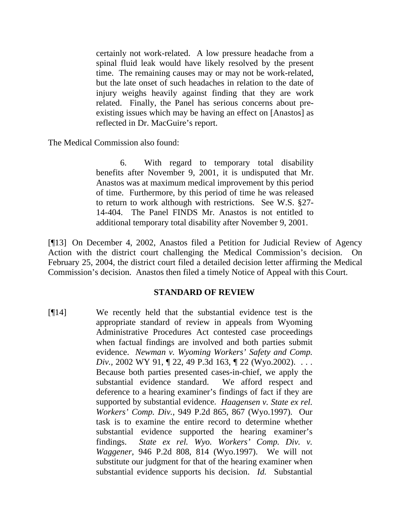certainly not work-related. A low pressure headache from a spinal fluid leak would have likely resolved by the present time. The remaining causes may or may not be work-related, but the late onset of such headaches in relation to the date of injury weighs heavily against finding that they are work related. Finally, the Panel has serious concerns about preexisting issues which may be having an effect on [Anastos] as reflected in Dr. MacGuire's report.

The Medical Commission also found:

 6. With regard to temporary total disability benefits after November 9, 2001, it is undisputed that Mr. Anastos was at maximum medical improvement by this period of time. Furthermore, by this period of time he was released to return to work although with restrictions. See W.S. §27- 14-404. The Panel FINDS Mr. Anastos is not entitled to additional temporary total disability after November 9, 2001.

[¶13] On December 4, 2002, Anastos filed a Petition for Judicial Review of Agency Action with the district court challenging the Medical Commission's decision. On February 25, 2004, the district court filed a detailed decision letter affirming the Medical Commission's decision. Anastos then filed a timely Notice of Appeal with this Court.

## **STANDARD OF REVIEW**

[¶14] We recently held that the substantial evidence test is the appropriate standard of review in appeals from [Wyoming](http://www.lexis.com/research/buttonTFLink?_m=c2c8e80f7421753f79b09afa9239167d&_xfercite=%3ccite%20cc%3d%22USA%22%3e%3c%21%5bCDATA%5b2005%20WY%2040%5d%5d%3e%3c%2fcite%3e&_butType=4&_butStat=0&_butNum=15&_butInline=1&_butinfo=WYO.%20STAT.%20ANN.%2016-3-101&_fmtstr=FULL&docnum=1&_startdoc=1&wchp=dGLbVtb-zSkAt&_md5=90957cda8898c09a96c70cdd32fed845)  [Administrative Procedures Act](http://www.lexis.com/research/buttonTFLink?_m=c2c8e80f7421753f79b09afa9239167d&_xfercite=%3ccite%20cc%3d%22USA%22%3e%3c%21%5bCDATA%5b2005%20WY%2040%5d%5d%3e%3c%2fcite%3e&_butType=4&_butStat=0&_butNum=15&_butInline=1&_butinfo=WYO.%20STAT.%20ANN.%2016-3-101&_fmtstr=FULL&docnum=1&_startdoc=1&wchp=dGLbVtb-zSkAt&_md5=90957cda8898c09a96c70cdd32fed845) contested case proceedings when factual findings are involved and both parties submit evidence. *Newman v. Wyoming [Workers' Safety and Comp.](http://www.lexis.com/research/buttonTFLink?_m=c2c8e80f7421753f79b09afa9239167d&_xfercite=%3ccite%20cc%3d%22USA%22%3e%3c%21%5bCDATA%5b2005%20WY%2040%5d%5d%3e%3c%2fcite%3e&_butType=3&_butStat=2&_butNum=16&_butInline=1&_butinfo=%3ccite%20cc%3d%22USA%22%3e%3c%21%5bCDATA%5b2002%20WY%2091%5d%5d%3e%3c%2fcite%3e&_fmtstr=FULL&docnum=1&_startdoc=1&wchp=dGLbVtb-zSkAt&_md5=ce91ce615f16ecc73cd7507d246f09fa)  Div.*, 2002 WY 91, 1 22, 49 P.3d 163, 1 22 (Wyo.2002). . . . . Because both parties presented cases-in-chief, we apply the substantial evidence standard. We afford respect and deference to a hearing examiner's findings of fact if they are supported by substantial evidence. *[Haagensen v. State ex rel.](http://www.lexis.com/research/buttonTFLink?_m=c2c8e80f7421753f79b09afa9239167d&_xfercite=%3ccite%20cc%3d%22USA%22%3e%3c%21%5bCDATA%5b2005%20WY%2040%5d%5d%3e%3c%2fcite%3e&_butType=3&_butStat=2&_butNum=17&_butInline=1&_butinfo=%3ccite%20cc%3d%22USA%22%3e%3c%21%5bCDATA%5b949%20P.2d%20865%2cat%20867%5d%5d%3e%3c%2fcite%3e&_fmtstr=FULL&docnum=1&_startdoc=1&wchp=dGLbVtb-zSkAt&_md5=b0e9981986039f4c76d2791b08218bb8)  Workers' Comp. Div.,* [949 P.2d 865, 867 \(Wyo.1997\).](http://www.lexis.com/research/buttonTFLink?_m=c2c8e80f7421753f79b09afa9239167d&_xfercite=%3ccite%20cc%3d%22USA%22%3e%3c%21%5bCDATA%5b2005%20WY%2040%5d%5d%3e%3c%2fcite%3e&_butType=3&_butStat=2&_butNum=17&_butInline=1&_butinfo=%3ccite%20cc%3d%22USA%22%3e%3c%21%5bCDATA%5b949%20P.2d%20865%2cat%20867%5d%5d%3e%3c%2fcite%3e&_fmtstr=FULL&docnum=1&_startdoc=1&wchp=dGLbVtb-zSkAt&_md5=b0e9981986039f4c76d2791b08218bb8) Our task is to examine the entire record to determine whether substantial evidence supported the hearing examiner's findings. *[State ex rel. Wyo. Workers'](http://www.lexis.com/research/buttonTFLink?_m=c2c8e80f7421753f79b09afa9239167d&_xfercite=%3ccite%20cc%3d%22USA%22%3e%3c%21%5bCDATA%5b2005%20WY%2040%5d%5d%3e%3c%2fcite%3e&_butType=3&_butStat=2&_butNum=18&_butInline=1&_butinfo=%3ccite%20cc%3d%22USA%22%3e%3c%21%5bCDATA%5b946%20P.2d%20808%2cat%20814%5d%5d%3e%3c%2fcite%3e&_fmtstr=FULL&docnum=1&_startdoc=1&wchp=dGLbVtb-zSkAt&_md5=14384a72339ea25521208df023b5b05c) Comp. Div. v. Waggener,* [946 P.2d 808, 814 \(Wyo.1997\).](http://www.lexis.com/research/buttonTFLink?_m=c2c8e80f7421753f79b09afa9239167d&_xfercite=%3ccite%20cc%3d%22USA%22%3e%3c%21%5bCDATA%5b2005%20WY%2040%5d%5d%3e%3c%2fcite%3e&_butType=3&_butStat=2&_butNum=18&_butInline=1&_butinfo=%3ccite%20cc%3d%22USA%22%3e%3c%21%5bCDATA%5b946%20P.2d%20808%2cat%20814%5d%5d%3e%3c%2fcite%3e&_fmtstr=FULL&docnum=1&_startdoc=1&wchp=dGLbVtb-zSkAt&_md5=14384a72339ea25521208df023b5b05c) We will not substitute our judgment for that of the hearing examiner when substantial evidence supports his decision. *Id.* Substantial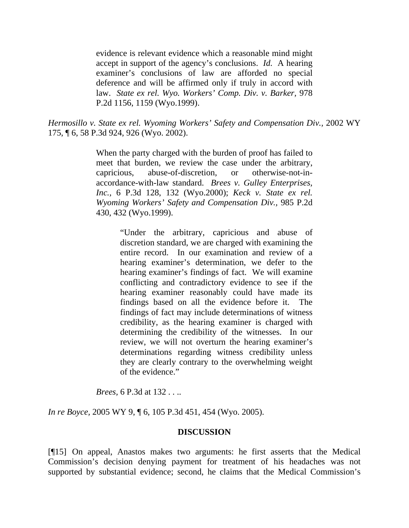evidence is relevant evidence which a reasonable mind might accept in support of the agency's conclusions. *Id.* A hearing examiner's conclusions of law are afforded no special deference and will be affirmed only if truly in accord with law. *[State ex rel. Wyo. Workers' Comp. Div. v. Barker,](http://www.lexis.com/research/buttonTFLink?_m=c2c8e80f7421753f79b09afa9239167d&_xfercite=%3ccite%20cc%3d%22USA%22%3e%3c%21%5bCDATA%5b2005%20WY%2040%5d%5d%3e%3c%2fcite%3e&_butType=3&_butStat=2&_butNum=19&_butInline=1&_butinfo=%3ccite%20cc%3d%22USA%22%3e%3c%21%5bCDATA%5b978%20P.2d%201156%2cat%201159%5d%5d%3e%3c%2fcite%3e&_fmtstr=FULL&docnum=1&_startdoc=1&wchp=dGLbVtb-zSkAt&_md5=77ebc6662d0a8faa41a01c1e72668f68)* 978 [P.2d 1156, 1159 \(Wyo.1999\).](http://www.lexis.com/research/buttonTFLink?_m=c2c8e80f7421753f79b09afa9239167d&_xfercite=%3ccite%20cc%3d%22USA%22%3e%3c%21%5bCDATA%5b2005%20WY%2040%5d%5d%3e%3c%2fcite%3e&_butType=3&_butStat=2&_butNum=19&_butInline=1&_butinfo=%3ccite%20cc%3d%22USA%22%3e%3c%21%5bCDATA%5b978%20P.2d%201156%2cat%201159%5d%5d%3e%3c%2fcite%3e&_fmtstr=FULL&docnum=1&_startdoc=1&wchp=dGLbVtb-zSkAt&_md5=77ebc6662d0a8faa41a01c1e72668f68)

*[Hermosillo v. State ex rel. Wyoming Workers' Safety and Compensation Div.,](http://www.lexis.com/research/buttonTFLink?_m=c2c8e80f7421753f79b09afa9239167d&_xfercite=%3ccite%20cc%3d%22USA%22%3e%3c%21%5bCDATA%5b2005%20WY%2040%5d%5d%3e%3c%2fcite%3e&_butType=3&_butStat=2&_butNum=20&_butInline=1&_butinfo=%3ccite%20cc%3d%22USA%22%3e%3c%21%5bCDATA%5b2002%20WY%20175%2cat%206%5d%5d%3e%3c%2fcite%3e&_fmtstr=FULL&docnum=1&_startdoc=1&wchp=dGLbVtb-zSkAt&_md5=ca2d10f349b12a493d367acf3824bf9a)* 2002 WY [175, ¶ 6,](http://www.lexis.com/research/buttonTFLink?_m=c2c8e80f7421753f79b09afa9239167d&_xfercite=%3ccite%20cc%3d%22USA%22%3e%3c%21%5bCDATA%5b2005%20WY%2040%5d%5d%3e%3c%2fcite%3e&_butType=3&_butStat=2&_butNum=20&_butInline=1&_butinfo=%3ccite%20cc%3d%22USA%22%3e%3c%21%5bCDATA%5b2002%20WY%20175%2cat%206%5d%5d%3e%3c%2fcite%3e&_fmtstr=FULL&docnum=1&_startdoc=1&wchp=dGLbVtb-zSkAt&_md5=ca2d10f349b12a493d367acf3824bf9a) [58 P.3d 924, 926 \(Wyo. 2002\)](http://www.lexis.com/research/buttonTFLink?_m=c2c8e80f7421753f79b09afa9239167d&_xfercite=%3ccite%20cc%3d%22USA%22%3e%3c%21%5bCDATA%5b2005%20WY%2040%5d%5d%3e%3c%2fcite%3e&_butType=3&_butStat=2&_butNum=21&_butInline=1&_butinfo=%3ccite%20cc%3d%22USA%22%3e%3c%21%5bCDATA%5b58%20P.3d%20924%2cat%20926%5d%5d%3e%3c%2fcite%3e&_fmtstr=FULL&docnum=1&_startdoc=1&wchp=dGLbVtb-zSkAt&_md5=8096934da13b9a527c1165afef46c719).

> When the party charged with the burden of proof has failed to meet that burden, we review the case under the arbitrary, capricious, abuse-of-discretion, or otherwise-not-inaccordance-with-law standard. *[Brees v. Gulley Enterprises,](http://www.lexis.com/research/buttonTFLink?_m=c2c8e80f7421753f79b09afa9239167d&_xfercite=%3ccite%20cc%3d%22USA%22%3e%3c%21%5bCDATA%5b2005%20WY%2040%5d%5d%3e%3c%2fcite%3e&_butType=3&_butStat=2&_butNum=22&_butInline=1&_butinfo=%3ccite%20cc%3d%22USA%22%3e%3c%21%5bCDATA%5b6%20P.3d%20128%2cat%20132%5d%5d%3e%3c%2fcite%3e&_fmtstr=FULL&docnum=1&_startdoc=1&wchp=dGLbVtb-zSkAt&_md5=7df82ee2812bfe6f16cebeffbc506081) Inc.,* [6 P.3d 128, 132 \(Wyo.2000\)](http://www.lexis.com/research/buttonTFLink?_m=c2c8e80f7421753f79b09afa9239167d&_xfercite=%3ccite%20cc%3d%22USA%22%3e%3c%21%5bCDATA%5b2005%20WY%2040%5d%5d%3e%3c%2fcite%3e&_butType=3&_butStat=2&_butNum=22&_butInline=1&_butinfo=%3ccite%20cc%3d%22USA%22%3e%3c%21%5bCDATA%5b6%20P.3d%20128%2cat%20132%5d%5d%3e%3c%2fcite%3e&_fmtstr=FULL&docnum=1&_startdoc=1&wchp=dGLbVtb-zSkAt&_md5=7df82ee2812bfe6f16cebeffbc506081); *Keck v. State ex rel. Wyoming Workers' [Safety and Compensation Div.,](http://www.lexis.com/research/buttonTFLink?_m=c2c8e80f7421753f79b09afa9239167d&_xfercite=%3ccite%20cc%3d%22USA%22%3e%3c%21%5bCDATA%5b2005%20WY%2040%5d%5d%3e%3c%2fcite%3e&_butType=3&_butStat=2&_butNum=23&_butInline=1&_butinfo=%3ccite%20cc%3d%22USA%22%3e%3c%21%5bCDATA%5b985%20P.2d%20430%2cat%20432%5d%5d%3e%3c%2fcite%3e&_fmtstr=FULL&docnum=1&_startdoc=1&wchp=dGLbVtb-zSkAt&_md5=c67bd69a059741461e5b16525ac2a4d0)* 985 P.2d [430, 432 \(Wyo.1999\).](http://www.lexis.com/research/buttonTFLink?_m=c2c8e80f7421753f79b09afa9239167d&_xfercite=%3ccite%20cc%3d%22USA%22%3e%3c%21%5bCDATA%5b2005%20WY%2040%5d%5d%3e%3c%2fcite%3e&_butType=3&_butStat=2&_butNum=23&_butInline=1&_butinfo=%3ccite%20cc%3d%22USA%22%3e%3c%21%5bCDATA%5b985%20P.2d%20430%2cat%20432%5d%5d%3e%3c%2fcite%3e&_fmtstr=FULL&docnum=1&_startdoc=1&wchp=dGLbVtb-zSkAt&_md5=c67bd69a059741461e5b16525ac2a4d0)

> > "Under the arbitrary, capricious and abuse of discretion standard, we are charged with examining the entire record. In our examination and review of a hearing examiner's determination, we defer to the hearing examiner's findings of fact. We will examine conflicting and contradictory evidence to see if the hearing examiner reasonably could have made its findings based on all the evidence before it. The findings of fact may include determinations of witness credibility, as the hearing examiner is charged with determining the credibility of the witnesses. In our review, we will not overturn the hearing examiner's determinations regarding witness credibility unless they are clearly contrary to the overwhelming weight of the evidence."

*Brees,* [6 P.3d at 132](http://www.lexis.com/research/buttonTFLink?_m=c2c8e80f7421753f79b09afa9239167d&_xfercite=%3ccite%20cc%3d%22USA%22%3e%3c%21%5bCDATA%5b2005%20WY%2040%5d%5d%3e%3c%2fcite%3e&_butType=3&_butStat=2&_butNum=24&_butInline=1&_butinfo=%3ccite%20cc%3d%22USA%22%3e%3c%21%5bCDATA%5b6%20P.3d%20128%2cat%20132%5d%5d%3e%3c%2fcite%3e&_fmtstr=FULL&docnum=1&_startdoc=1&wchp=dGLbVtb-zSkAt&_md5=d2e814794e73f38a3d7acc4ab2efa99b) . . ..

*In re Boyce,* [2005 WY 9, ¶ 6, 105 P.3d 451, 454 \(Wyo. 2005\)](http://www.lexis.com/research/buttonTFLink?_m=c2c8e80f7421753f79b09afa9239167d&_xfercite=%3ccite%20cc%3d%22USA%22%3e%3c%21%5bCDATA%5b2005%20WY%2040%5d%5d%3e%3c%2fcite%3e&_butType=3&_butStat=2&_butNum=25&_butInline=1&_butinfo=%3ccite%20cc%3d%22USA%22%3e%3c%21%5bCDATA%5b2005%20WY%209%5d%5d%3e%3c%2fcite%3e&_fmtstr=FULL&docnum=1&_startdoc=1&wchp=dGLbVtb-zSkAt&_md5=d12bef770a5555caa65501f8f371f4e3).

## **DISCUSSION**

[¶15] On appeal, Anastos makes two arguments: he first asserts that the Medical Commission's decision denying payment for treatment of his headaches was not supported by substantial evidence; second, he claims that the Medical Commission's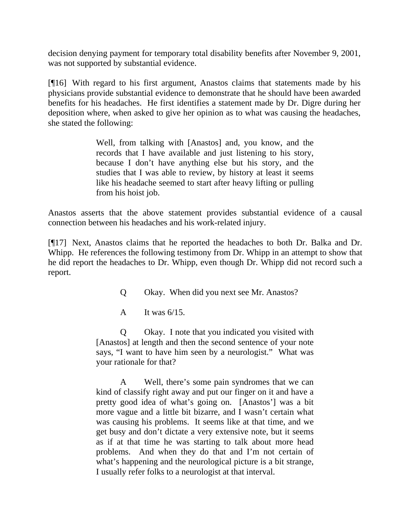decision denying payment for temporary total disability benefits after November 9, 2001, was not supported by substantial evidence.

[¶16] With regard to his first argument, Anastos claims that statements made by his physicians provide substantial evidence to demonstrate that he should have been awarded benefits for his headaches. He first identifies a statement made by Dr. Digre during her deposition where, when asked to give her opinion as to what was causing the headaches, she stated the following:

> Well, from talking with [Anastos] and, you know, and the records that I have available and just listening to his story, because I don't have anything else but his story, and the studies that I was able to review, by history at least it seems like his headache seemed to start after heavy lifting or pulling from his hoist job.

Anastos asserts that the above statement provides substantial evidence of a causal connection between his headaches and his work-related injury.

[¶17] Next, Anastos claims that he reported the headaches to both Dr. Balka and Dr. Whipp. He references the following testimony from Dr. Whipp in an attempt to show that he did report the headaches to Dr. Whipp, even though Dr. Whipp did not record such a report.

Q Okay. When did you next see Mr. Anastos?

A It was  $6/15$ .

 Q Okay. I note that you indicated you visited with [Anastos] at length and then the second sentence of your note says, "I want to have him seen by a neurologist." What was your rationale for that?

 A Well, there's some pain syndromes that we can kind of classify right away and put our finger on it and have a pretty good idea of what's going on. [Anastos'] was a bit more vague and a little bit bizarre, and I wasn't certain what was causing his problems. It seems like at that time, and we get busy and don't dictate a very extensive note, but it seems as if at that time he was starting to talk about more head problems. And when they do that and I'm not certain of what's happening and the neurological picture is a bit strange, I usually refer folks to a neurologist at that interval.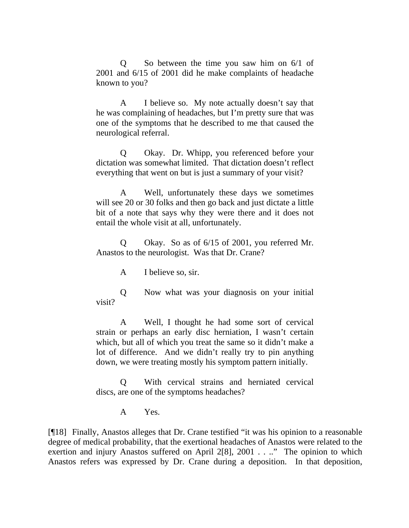Q So between the time you saw him on 6/1 of 2001 and 6/15 of 2001 did he make complaints of headache known to you?

 A I believe so. My note actually doesn't say that he was complaining of headaches, but I'm pretty sure that was one of the symptoms that he described to me that caused the neurological referral.

 Q Okay. Dr. Whipp, you referenced before your dictation was somewhat limited. That dictation doesn't reflect everything that went on but is just a summary of your visit?

 A Well, unfortunately these days we sometimes will see 20 or 30 folks and then go back and just dictate a little bit of a note that says why they were there and it does not entail the whole visit at all, unfortunately.

 Q Okay. So as of 6/15 of 2001, you referred Mr. Anastos to the neurologist. Was that Dr. Crane?

A I believe so, sir.

 Q Now what was your diagnosis on your initial visit?

 A Well, I thought he had some sort of cervical strain or perhaps an early disc herniation, I wasn't certain which, but all of which you treat the same so it didn't make a lot of difference. And we didn't really try to pin anything down, we were treating mostly his symptom pattern initially.

 Q With cervical strains and herniated cervical discs, are one of the symptoms headaches?

A Yes.

[¶18] Finally, Anastos alleges that Dr. Crane testified "it was his opinion to a reasonable degree of medical probability, that the exertional headaches of Anastos were related to the exertion and injury Anastos suffered on April 2[8], 2001 . . .." The opinion to which Anastos refers was expressed by Dr. Crane during a deposition. In that deposition,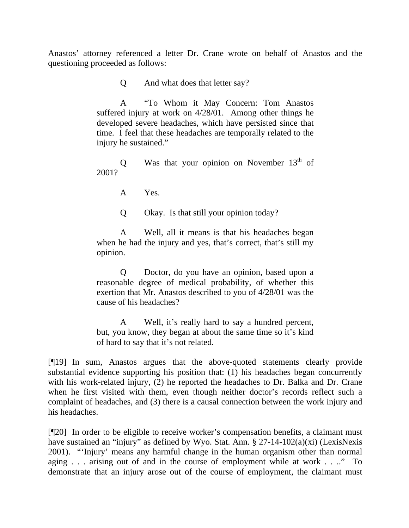Anastos' attorney referenced a letter Dr. Crane wrote on behalf of Anastos and the questioning proceeded as follows:

Q And what does that letter say?

 A "To Whom it May Concern: Tom Anastos suffered injury at work on 4/28/01. Among other things he developed severe headaches, which have persisted since that time. I feel that these headaches are temporally related to the injury he sustained."

Q Was that your opinion on November  $13<sup>th</sup>$  of 2001?

A Yes.

Q Okay. Is that still your opinion today?

 A Well, all it means is that his headaches began when he had the injury and yes, that's correct, that's still my opinion.

 Q Doctor, do you have an opinion, based upon a reasonable degree of medical probability, of whether this exertion that Mr. Anastos described to you of 4/28/01 was the cause of his headaches?

 A Well, it's really hard to say a hundred percent, but, you know, they began at about the same time so it's kind of hard to say that it's not related.

[¶19] In sum, Anastos argues that the above-quoted statements clearly provide substantial evidence supporting his position that: (1) his headaches began concurrently with his work-related injury, (2) he reported the headaches to Dr. Balka and Dr. Crane when he first visited with them, even though neither doctor's records reflect such a complaint of headaches, and (3) there is a causal connection between the work injury and his headaches.

[¶20] In order to be eligible to receive worker's compensation benefits, a claimant must have sustained an "injury" as defined by Wyo. Stat. Ann. § 27-14-102(a)(xi) (LexisNexis 2001). "'Injury' means any harmful change in the human organism other than normal aging . . . arising out of and in the course of employment while at work . . .." To demonstrate that an injury arose out of the course of employment, the claimant must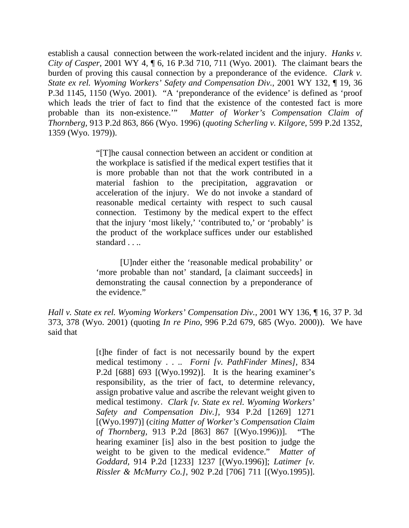establish a causal connection between the work-related incident and the injury. *Hanks v. City of Casper,* 2001 WY 4, ¶ 6, 16 P.3d 710, 711 (Wyo. 2001). The claimant bears the burden of proving this causal connection by a preponderance of the evidence. *Clark v. State ex rel. Wyoming Workers' Safety and Compensation Div.,* 2001 WY 132, ¶ 19, 36 P.3d 1145, 1150 (Wyo. 2001). "A 'preponderance of the evidence' is defined as 'proof which leads the trier of fact to find that the existence of the contested fact is more probable than its non-existence.'" *Matter of Worker's Compensation Claim of Thornberg,* 913 P.2d 863, 866 (Wyo. 1996) (*quoting Scherling v. Kilgore*, 599 P.2d 1352, 1359 (Wyo. 1979)).

> "[T]he causal connection between an accident or condition at the workplace is satisfied if the medical expert testifies that it is more probable than not that the work contributed in a material fashion to the precipitation, aggravation or acceleration of the injury. We do not invoke a standard of reasonable medical certainty with respect to such causal connection. Testimony by the medical expert to the effect that the injury 'most likely,' 'contributed to,' or 'probably' is the product of the workplace suffices under our established standard . . ..

> [U]nder either the 'reasonable medical probability' or 'more probable than not' standard, [a claimant succeeds] in demonstrating the causal connection by a preponderance of the evidence."

*[Hall v. State ex rel. Wyoming Workers' Compensation Div.](http://www.lexis.com/research/buttonTFLink?_m=4d15dc2bbf10f9ddcad7dff39e9600bd&_xfercite=%3ccite%20cc%3d%22USA%22%3e%3c%21%5bCDATA%5b2005%20WY%2011%5d%5d%3e%3c%2fcite%3e&_butType=3&_butStat=2&_butNum=22&_butInline=1&_butinfo=%3ccite%20cc%3d%22USA%22%3e%3c%21%5bCDATA%5b2001%20WY%20136%5d%5d%3e%3c%2fcite%3e&_fmtstr=FULL&docnum=3&_startdoc=1&wchp=dGLbVtb-zSkAt&_md5=4034761dd12ff82b1e67cd1d62c5bc7d)*, 2001 WY 136, ¶ 16, 37 P. 3d [373, 378 \(Wyo. 2001\)](http://www.lexis.com/research/buttonTFLink?_m=4d15dc2bbf10f9ddcad7dff39e9600bd&_xfercite=%3ccite%20cc%3d%22USA%22%3e%3c%21%5bCDATA%5b2005%20WY%2011%5d%5d%3e%3c%2fcite%3e&_butType=3&_butStat=2&_butNum=22&_butInline=1&_butinfo=%3ccite%20cc%3d%22USA%22%3e%3c%21%5bCDATA%5b2001%20WY%20136%5d%5d%3e%3c%2fcite%3e&_fmtstr=FULL&docnum=3&_startdoc=1&wchp=dGLbVtb-zSkAt&_md5=4034761dd12ff82b1e67cd1d62c5bc7d) (quoting *In re Pino*[, 996 P.2d 679, 685 \(Wyo. 2000\)\).](http://www.lexis.com/research/buttonTFLink?_m=4d15dc2bbf10f9ddcad7dff39e9600bd&_xfercite=%3ccite%20cc%3d%22USA%22%3e%3c%21%5bCDATA%5b2005%20WY%2011%5d%5d%3e%3c%2fcite%3e&_butType=3&_butStat=2&_butNum=23&_butInline=1&_butinfo=%3ccite%20cc%3d%22USA%22%3e%3c%21%5bCDATA%5b996%20P.2d%20679%2cat%20685%5d%5d%3e%3c%2fcite%3e&_fmtstr=FULL&docnum=3&_startdoc=1&wchp=dGLbVtb-zSkAt&_md5=b700f0241bb76354e028074be9fe19d1) We have said that

> [t]he finder of fact is not necessarily bound by the expert medical testimony . . .. *Forni [v. PathFinder Mines],* 834 P.2d [688] 693 [(Wyo.1992)]. It is the hearing examiner's responsibility, as the trier of fact, to determine relevancy, assign probative value and ascribe the relevant weight given to medical testimony. *[Clark \[v. State ex rel. Wyoming Workers'](http://www.lexis.com/research/buttonTFLink?_m=9e9dd58cf09a5f4cfe1272a1721a0b20&_xfercite=%3ccite%20cc%3d%22USA%22%3e%3c%21%5bCDATA%5b975%20P.2d%2012%5d%5d%3e%3c%2fcite%3e&_butType=3&_butStat=2&_butNum=33&_butInline=1&_butinfo=%3ccite%20cc%3d%22USA%22%3e%3c%21%5bCDATA%5b934%20P.2d%201269%2cat%201271%5d%5d%3e%3c%2fcite%3e&_fmtstr=FULL&docnum=1&_startdoc=1&wchp=dGLbVtb-zSkAt&_md5=1f98feef5329cd4509e0b37e77d62884)  [Safety and Compensation Div.\],](http://www.lexis.com/research/buttonTFLink?_m=9e9dd58cf09a5f4cfe1272a1721a0b20&_xfercite=%3ccite%20cc%3d%22USA%22%3e%3c%21%5bCDATA%5b975%20P.2d%2012%5d%5d%3e%3c%2fcite%3e&_butType=3&_butStat=2&_butNum=33&_butInline=1&_butinfo=%3ccite%20cc%3d%22USA%22%3e%3c%21%5bCDATA%5b934%20P.2d%201269%2cat%201271%5d%5d%3e%3c%2fcite%3e&_fmtstr=FULL&docnum=1&_startdoc=1&wchp=dGLbVtb-zSkAt&_md5=1f98feef5329cd4509e0b37e77d62884)* 934 P.2d [1269] 1271 [(Wyo.1997)] (c*iting [Matter of Worker's Compensation Claim](http://www.lexis.com/research/buttonTFLink?_m=9e9dd58cf09a5f4cfe1272a1721a0b20&_xfercite=%3ccite%20cc%3d%22USA%22%3e%3c%21%5bCDATA%5b975%20P.2d%2012%5d%5d%3e%3c%2fcite%3e&_butType=3&_butStat=2&_butNum=34&_butInline=1&_butinfo=%3ccite%20cc%3d%22USA%22%3e%3c%21%5bCDATA%5b913%20P.2d%20863%2cat%20867%5d%5d%3e%3c%2fcite%3e&_fmtstr=FULL&docnum=1&_startdoc=1&wchp=dGLbVtb-zSkAt&_md5=c90a183255f89b41dd8b548f939b4c6b)  of Thornberg,* [913 P.2d \[863\] 867 \[\(Wyo.1996\)\)\].](http://www.lexis.com/research/buttonTFLink?_m=9e9dd58cf09a5f4cfe1272a1721a0b20&_xfercite=%3ccite%20cc%3d%22USA%22%3e%3c%21%5bCDATA%5b975%20P.2d%2012%5d%5d%3e%3c%2fcite%3e&_butType=3&_butStat=2&_butNum=34&_butInline=1&_butinfo=%3ccite%20cc%3d%22USA%22%3e%3c%21%5bCDATA%5b913%20P.2d%20863%2cat%20867%5d%5d%3e%3c%2fcite%3e&_fmtstr=FULL&docnum=1&_startdoc=1&wchp=dGLbVtb-zSkAt&_md5=c90a183255f89b41dd8b548f939b4c6b) "The hearing examiner [is] also in the best position to judge the weight to be given to the medical evidence." *[Matter of](http://www.lexis.com/research/buttonTFLink?_m=9e9dd58cf09a5f4cfe1272a1721a0b20&_xfercite=%3ccite%20cc%3d%22USA%22%3e%3c%21%5bCDATA%5b975%20P.2d%2012%5d%5d%3e%3c%2fcite%3e&_butType=3&_butStat=2&_butNum=35&_butInline=1&_butinfo=%3ccite%20cc%3d%22USA%22%3e%3c%21%5bCDATA%5b914%20P.2d%201233%2cat%201237%5d%5d%3e%3c%2fcite%3e&_fmtstr=FULL&docnum=1&_startdoc=1&wchp=dGLbVtb-zSkAt&_md5=91cd997ed26ad282f8c0fff5e6eb6b93)  Goddard,* [914 P.2d \[1233\] 1237 \[\(Wyo.1996\)\];](http://www.lexis.com/research/buttonTFLink?_m=9e9dd58cf09a5f4cfe1272a1721a0b20&_xfercite=%3ccite%20cc%3d%22USA%22%3e%3c%21%5bCDATA%5b975%20P.2d%2012%5d%5d%3e%3c%2fcite%3e&_butType=3&_butStat=2&_butNum=35&_butInline=1&_butinfo=%3ccite%20cc%3d%22USA%22%3e%3c%21%5bCDATA%5b914%20P.2d%201233%2cat%201237%5d%5d%3e%3c%2fcite%3e&_fmtstr=FULL&docnum=1&_startdoc=1&wchp=dGLbVtb-zSkAt&_md5=91cd997ed26ad282f8c0fff5e6eb6b93) *[Latimer \[v.](http://www.lexis.com/research/buttonTFLink?_m=9e9dd58cf09a5f4cfe1272a1721a0b20&_xfercite=%3ccite%20cc%3d%22USA%22%3e%3c%21%5bCDATA%5b975%20P.2d%2012%5d%5d%3e%3c%2fcite%3e&_butType=3&_butStat=2&_butNum=36&_butInline=1&_butinfo=%3ccite%20cc%3d%22USA%22%3e%3c%21%5bCDATA%5b902%20P.2d%20706%2cat%20711%5d%5d%3e%3c%2fcite%3e&_fmtstr=FULL&docnum=1&_startdoc=1&wchp=dGLbVtb-zSkAt&_md5=f87c97ab8d3b90e249b458a1621303d3)  Rissler & McMurry Co.]*[, 902 P.2d \[706\] 711 \[\(Wyo.1995\)\].](http://www.lexis.com/research/buttonTFLink?_m=9e9dd58cf09a5f4cfe1272a1721a0b20&_xfercite=%3ccite%20cc%3d%22USA%22%3e%3c%21%5bCDATA%5b975%20P.2d%2012%5d%5d%3e%3c%2fcite%3e&_butType=3&_butStat=2&_butNum=36&_butInline=1&_butinfo=%3ccite%20cc%3d%22USA%22%3e%3c%21%5bCDATA%5b902%20P.2d%20706%2cat%20711%5d%5d%3e%3c%2fcite%3e&_fmtstr=FULL&docnum=1&_startdoc=1&wchp=dGLbVtb-zSkAt&_md5=f87c97ab8d3b90e249b458a1621303d3)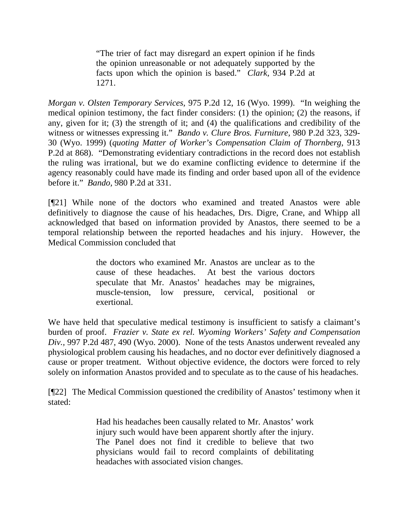"The trier of fact may disregard an expert opinion if he finds the opinion unreasonable or not adequately supported by the facts upon which the opinion is based." *Clark,* [934 P.2d at](http://www.lexis.com/research/buttonTFLink?_m=9e9dd58cf09a5f4cfe1272a1721a0b20&_xfercite=%3ccite%20cc%3d%22USA%22%3e%3c%21%5bCDATA%5b975%20P.2d%2012%5d%5d%3e%3c%2fcite%3e&_butType=3&_butStat=2&_butNum=37&_butInline=1&_butinfo=%3ccite%20cc%3d%22USA%22%3e%3c%21%5bCDATA%5b934%20P.2d%201269%2cat%201271%5d%5d%3e%3c%2fcite%3e&_fmtstr=FULL&docnum=1&_startdoc=1&wchp=dGLbVtb-zSkAt&_md5=b58d998e86d2b8dcba2d3e429ef9dfea)  [1271.](http://www.lexis.com/research/buttonTFLink?_m=9e9dd58cf09a5f4cfe1272a1721a0b20&_xfercite=%3ccite%20cc%3d%22USA%22%3e%3c%21%5bCDATA%5b975%20P.2d%2012%5d%5d%3e%3c%2fcite%3e&_butType=3&_butStat=2&_butNum=37&_butInline=1&_butinfo=%3ccite%20cc%3d%22USA%22%3e%3c%21%5bCDATA%5b934%20P.2d%201269%2cat%201271%5d%5d%3e%3c%2fcite%3e&_fmtstr=FULL&docnum=1&_startdoc=1&wchp=dGLbVtb-zSkAt&_md5=b58d998e86d2b8dcba2d3e429ef9dfea)

*Morgan v. Olsten Temporary Services,* 975 P.2d 12, 16 (Wyo. 1999). "In weighing the medical opinion testimony, the fact finder considers: (1) the opinion; (2) the reasons, if any, given for it; (3) the strength of it; and (4) the qualifications and credibility of the witness or witnesses expressing it." *[Bando v. Clure Bros. Furniture,](http://www.lexis.com/research/buttonTFLink?_m=c2c8e80f7421753f79b09afa9239167d&_xfercite=%3ccite%20cc%3d%22USA%22%3e%3c%21%5bCDATA%5b2005%20WY%2040%5d%5d%3e%3c%2fcite%3e&_butType=3&_butStat=2&_butNum=26&_butInline=1&_butinfo=%3ccite%20cc%3d%22USA%22%3e%3c%21%5bCDATA%5b980%20P.2d%20323%2cat%20329%5d%5d%3e%3c%2fcite%3e&_fmtstr=FULL&docnum=1&_startdoc=1&wchp=dGLbVtb-zSkAt&_md5=80381387dc263bc7232ed81149b7cc82)* 980 P.2d 323, 329- [30 \(Wyo. 1999\)](http://www.lexis.com/research/buttonTFLink?_m=c2c8e80f7421753f79b09afa9239167d&_xfercite=%3ccite%20cc%3d%22USA%22%3e%3c%21%5bCDATA%5b2005%20WY%2040%5d%5d%3e%3c%2fcite%3e&_butType=3&_butStat=2&_butNum=26&_butInline=1&_butinfo=%3ccite%20cc%3d%22USA%22%3e%3c%21%5bCDATA%5b980%20P.2d%20323%2cat%20329%5d%5d%3e%3c%2fcite%3e&_fmtstr=FULL&docnum=1&_startdoc=1&wchp=dGLbVtb-zSkAt&_md5=80381387dc263bc7232ed81149b7cc82) (*quoting Matter of Worker's Compensation Claim of Thornberg*, 913 P.2d at 868). "Demonstrating evidentiary contradictions in the record does not establish the ruling was irrational, but we do examine conflicting evidence to determine if the agency reasonably could have made its finding and order based upon all of the evidence before it." *Bando,* 980 P.2d at 331.

[¶21] While none of the doctors who examined and treated Anastos were able definitively to diagnose the cause of his headaches, Drs. Digre, Crane, and Whipp all acknowledged that based on information provided by Anastos, there seemed to be a temporal relationship between the reported headaches and his injury. However, the Medical Commission concluded that

> the doctors who examined Mr. Anastos are unclear as to the cause of these headaches. At best the various doctors speculate that Mr. Anastos' headaches may be migraines, muscle-tension, low pressure, cervical, positional or exertional.

We have held that speculative medical testimony is insufficient to satisfy a claimant's burden of proof. *Frazier v. State ex rel. Wyoming Workers' Safety and Compensation Div.,* 997 P.2d 487, 490 (Wyo. 2000). None of the tests Anastos underwent revealed any physiological problem causing his headaches, and no doctor ever definitively diagnosed a cause or proper treatment. Without objective evidence, the doctors were forced to rely solely on information Anastos provided and to speculate as to the cause of his headaches.

[¶22] The Medical Commission questioned the credibility of Anastos' testimony when it stated:

> Had his headaches been causally related to Mr. Anastos' work injury such would have been apparent shortly after the injury. The Panel does not find it credible to believe that two physicians would fail to record complaints of debilitating headaches with associated vision changes.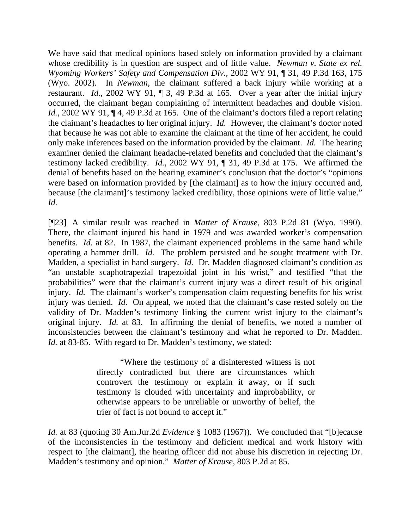We have said that medical opinions based solely on information provided by a claimant whose credibility is in question are suspect and of little value. *Newman v. State ex rel. Wyoming Workers' Safety and Compensation Div.,* 2002 WY 91, ¶ 31, 49 P.3d 163, 175 (Wyo. 2002)*.* In *Newman*, the claimant suffered a back injury while working at a restaurant. *Id.*, 2002 WY 91, ¶ 3, 49 P.3d at 165. Over a year after the initial injury occurred, the claimant began complaining of intermittent headaches and double vision. *Id.*, 2002 WY 91,  $\P$  4, 49 P.3d at 165. One of the claimant's doctors filed a report relating the claimant's headaches to her original injury. *Id.* However, the claimant's doctor noted that because he was not able to examine the claimant at the time of her accident, he could only make inferences based on the information provided by the claimant. *Id.* The hearing examiner denied the claimant headache-related benefits and concluded that the claimant's testimony lacked credibility. *Id.*, 2002 WY 91, ¶ 31, 49 P.3d at 175. We affirmed the denial of benefits based on the hearing examiner's conclusion that the doctor's "opinions were based on information provided by [the claimant] as to how the injury occurred and, because [the claimant]'s testimony lacked credibility, those opinions were of little value." *Id.*

[¶23] A similar result was reached in *Matter of Krause*, 803 P.2d 81 (Wyo. 1990). There, the claimant injured his hand in 1979 and was awarded worker's compensation benefits. *Id.* at 82. In 1987, the claimant experienced problems in the same hand while operating a hammer drill. *Id.* The problem persisted and he sought treatment with Dr. Madden, a specialist in hand surgery. *Id.* Dr. Madden diagnosed claimant's condition as "an unstable scaphotrapezial trapezoidal joint in his wrist," and testified "that the probabilities" were that the claimant's current injury was a direct result of his original injury. *Id.* The claimant's worker's compensation claim requesting benefits for his wrist injury was denied. *Id.* On appeal, we noted that the claimant's case rested solely on the validity of Dr. Madden's testimony linking the current wrist injury to the claimant's original injury. *Id.* at 83. In affirming the denial of benefits, we noted a number of inconsistencies between the claimant's testimony and what he reported to Dr. Madden. *Id.* at 83-85. With regard to Dr. Madden's testimony, we stated:

> "Where the testimony of a disinterested witness is not directly contradicted but there are circumstances which controvert the testimony or explain it away, or if such testimony is clouded with uncertainty and improbability, or otherwise appears to be unreliable or unworthy of belief, the trier of fact is not bound to accept it."

*Id.* at 83 (quoting 30 Am.Jur.2d *Evidence* § 1083 (1967)). We concluded that "[b]ecause of the inconsistencies in the testimony and deficient medical and work history with respect to [the claimant], the hearing officer did not abuse his discretion in rejecting Dr. Madden's testimony and opinion." *Matter of Krause*, 803 P.2d at 85.